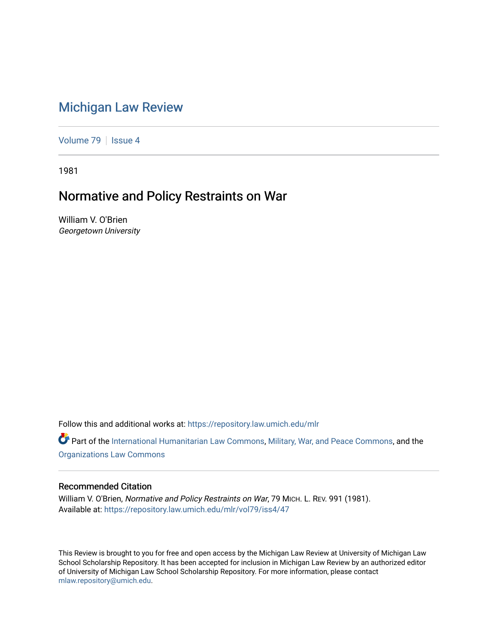## [Michigan Law Review](https://repository.law.umich.edu/mlr)

[Volume 79](https://repository.law.umich.edu/mlr/vol79) | [Issue 4](https://repository.law.umich.edu/mlr/vol79/iss4)

1981

# Normative and Policy Restraints on War

William V. O'Brien Georgetown University

Follow this and additional works at: [https://repository.law.umich.edu/mlr](https://repository.law.umich.edu/mlr?utm_source=repository.law.umich.edu%2Fmlr%2Fvol79%2Fiss4%2F47&utm_medium=PDF&utm_campaign=PDFCoverPages) 

Part of the [International Humanitarian Law Commons](http://network.bepress.com/hgg/discipline/1330?utm_source=repository.law.umich.edu%2Fmlr%2Fvol79%2Fiss4%2F47&utm_medium=PDF&utm_campaign=PDFCoverPages), [Military, War, and Peace Commons](http://network.bepress.com/hgg/discipline/861?utm_source=repository.law.umich.edu%2Fmlr%2Fvol79%2Fiss4%2F47&utm_medium=PDF&utm_campaign=PDFCoverPages), and the [Organizations Law Commons](http://network.bepress.com/hgg/discipline/865?utm_source=repository.law.umich.edu%2Fmlr%2Fvol79%2Fiss4%2F47&utm_medium=PDF&utm_campaign=PDFCoverPages) 

### Recommended Citation

William V. O'Brien, Normative and Policy Restraints on War, 79 Mich. L. REV. 991 (1981). Available at: [https://repository.law.umich.edu/mlr/vol79/iss4/47](https://repository.law.umich.edu/mlr/vol79/iss4/47?utm_source=repository.law.umich.edu%2Fmlr%2Fvol79%2Fiss4%2F47&utm_medium=PDF&utm_campaign=PDFCoverPages) 

This Review is brought to you for free and open access by the Michigan Law Review at University of Michigan Law School Scholarship Repository. It has been accepted for inclusion in Michigan Law Review by an authorized editor of University of Michigan Law School Scholarship Repository. For more information, please contact [mlaw.repository@umich.edu.](mailto:mlaw.repository@umich.edu)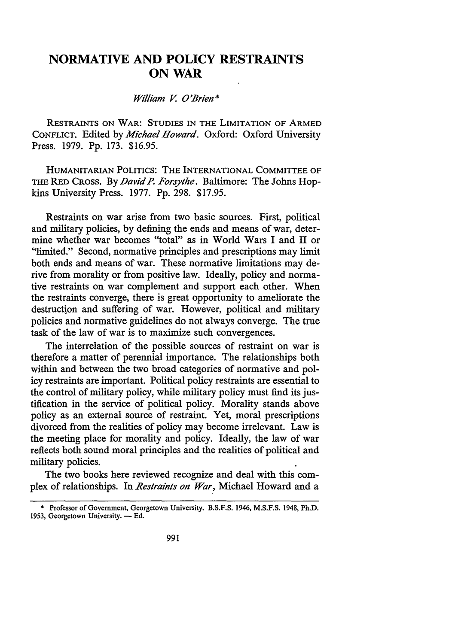## **NORMATIVE AND POLICY RESTRAINTS ONWAR**

*William* V. *0 'Brien\** 

RESTRAINTS ON WAR: STUDIES IN THE LIMITATION OF ARMED CONFLICT. Edited by *Michael Howard.* Oxford: Oxford University Press. 1979. Pp. 173. \$16.95.

HUMANITARIAN POLITICS: THE INTERNATIONAL COMMITTEE OF THE RED CROSS. By *David P. Forsythe*. Baltimore: The Johns Hopkins University Press. 1977. Pp. 298. \$17.95.

Restraints on war arise from two basic sources. First, political and military policies, by defining the ends and means of war, determine whether war becomes "total" as in World Wars I and II or "limited." Second, normative principles and prescriptions may limit both ends and means of war. These normative limitations may derive from morality or from positive law. Ideally, policy and normative restraints on war complement and support each other. When the restraints converge, there is great opportunity to ameliorate the destruction and suffering of war. However, political and military policies and normative guidelines do not always converge. The true task of the law of war is to maximize such convergences.

The interrelation of the possible sources of restraint on war is therefore a matter of perennial importance. The relationships both within and between the two broad categories of normative and policy restraints are important. Political policy restraints are essential to the control of military policy, while military policy must find its justification in the service of political policy. Morality stands above policy as an external source of restraint. Yet, moral prescriptions divorced from the realities of policy may become irrelevant. Law is the meeting place for morality and policy. Ideally, the law of war reflects both sound moral principles and the realities of political and military policies.

The two books here reviewed recognize and deal with this complex of relationships. In *Restraints on War*, Michael Howard and a

<sup>\*</sup> Professor of Government, Georgetown University. B.S.F.S. 1946, M.S.F.S. 1948, Ph.D. 1953, Georgetown University. - Ed.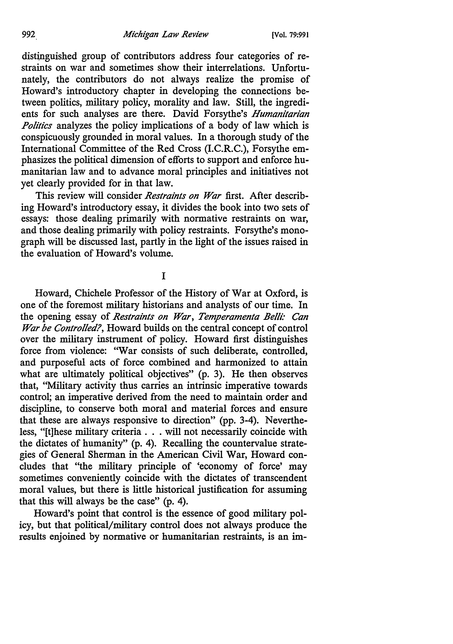distinguished group of contributors address four categories of restraints on war and sometimes show their interrelations. Unfortunately, the contributors do not always realize the promise of Howard's introductory chapter in developing the connections between politics, military policy, morality and law. Still, the ingredients for such analyses are there. David Forsythe's *Humanitarian Politics* analyzes the policy implications of a body of law which is conspicuously grounded in moral values. In a thorough study of the International Committee of the Red Cross (I.C.R.C.), Forsythe emphasizes the political dimension of efforts to support and enforce humanitarian law and to advance moral principles and initiatives not yet clearly provided for in that law.

This review will consider *Restraints on War* first. After describing Howard's introductory essay, it divides the book into two sets of essays: those dealing primarily with normative restraints on war, and those dealing primarily with policy restraints. Forsythe's monograph will be discussed last, partly in the light of the issues raised in the evaluation of Howard's volume.

I

Howard, Chichele Professor of the History of War at Oxford, is one of the foremost military historians and analysts of our time. In the opening essay of *Restraints on War*, Temperamenta Belli: Can *War be Controlled?,* Howard builds on the central concept of control over the military instrument of policy. Howard first distinguishes force from violence: "War consists of such deliberate, controlled, and purposeful acts of force combined and harmonized to attain what are ultimately political objectives" (p. 3). He then observes that, "Military activity thus carries an intrinsic imperative towards control; an imperative derived from the need to maintain order and discipline, to conserve both moral and material forces and ensure that these are always responsive to direction" (pp. 3-4). Nevertheless, "[t]hese military criteria . . . will not necessarily coincide with the dictates of humanity" (p. 4). Recalling the countervalue strategies of General Sherman in the American Civil War, Howard concludes that "the military principle of 'economy of force' may sometimes conveniently coincide with the dictates of transcendent moral values, but there is little historical justification for assuming that this will always be the case" (p. 4).

Howard's point that control is the essence of good military policy, but that political/military control does not always produce the results enjoined by normative or humanitarian restraints, is an im-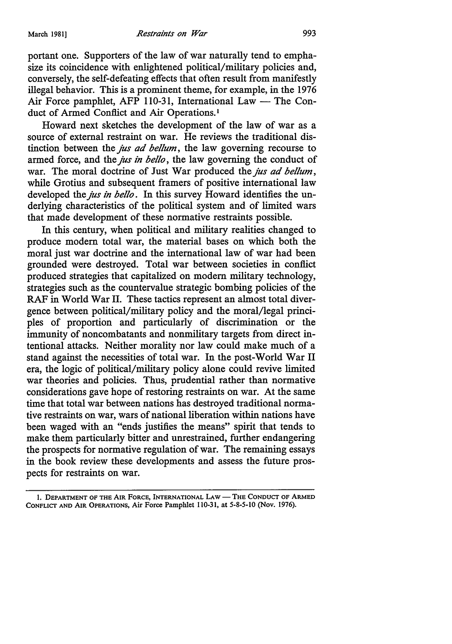portant one. Supporters of the law of war naturally tend to emphasize its coincidence with enlightened political/military policies and, conversely, the self-defeating effects that often result from manifestly illegal behavior. This is a prominent theme, for example, in the 1976 Air Force pamphlet, AFP 110-31, International Law  $-$  The Conduct of Armed Conflict and Air Operations.<sup>1</sup>

Howard next sketches the development of the law of war as a source of external restraint on war. He reviews the traditional distinction between the *jus ad bellum,* the law governing recourse to armed force, and the *jus in be/lo,* the law governing the conduct of war. The moral doctrine of Just War produced the *jus ad bellum*, while Grotius and subsequent framers of positive international law developed the *jus in be/lo.* In this survey Howard identifies the underlying characteristics of the political system and of limited wars that made development of these normative restraints possible.

In this century, when political and military realities changed to produce modem total war, the material bases on which both the moral just war doctrine and the international law of war had been grounded were destroyed. Total war between societies in conflict produced strategies that capitalized on modem military technology, strategies such as the countervalue strategic bombing policies of the RAF in World War II. These tactics represent an almost total divergence between political/military policy and the moral/legal principles of proportion and particularly of discrimination or the immunity of noncombatants and nonmilitary targets from direct intentional attacks. Neither morality nor law could make much of a stand against the necessities of total war. In the post-World War II era, the logic of political/military policy alone could revive limited war theories and policies. Thus, prudential rather than normative considerations gave hope of restoring restraints on war. At the same time that total war between nations has destroyed traditional normative restraints on war, wars of national liberation within nations have been waged with an "ends justifies the means" spirit that tends to make them particularly bitter and unrestrained, further endangering the prospects for normative regulation of war. The remaining essays in the book review these developments and assess the future prospects for restraints on war.

<sup>1.</sup> DEPARTMENT OF THE AIR FORCE, INTERNATIONAL LAW - THE CONDUCT OF ARMED CONFLICT AND AIR OPERATIONS, Air Force Pamphlet 110-31, at 5-8-5-10 (Nov. 1976).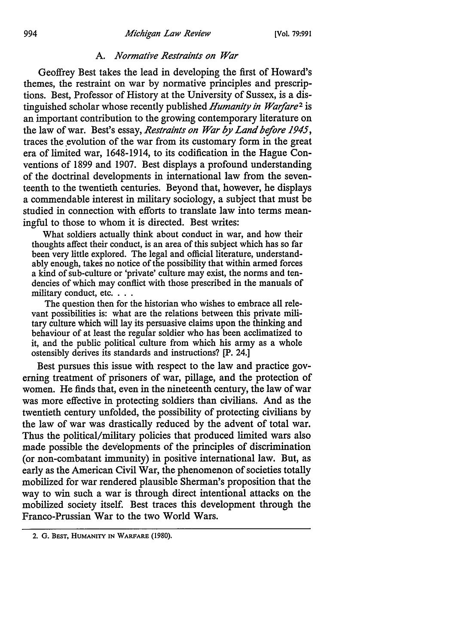### A. *Normative Restraints on War*

Geoffrey Best takes the lead in developing the first of Howard's themes, the restraint on war by normative principles and prescriptions. Best, Professor of History at the University of Sussex, is a distinguished scholar whose recently published *Humanity in Warfare*<sup>2</sup> is an important contribution to the growing contemporary literature on the law of war. Best's essay, *Restraints on War by Land before 1945,*  traces the evolution of the war from its customary form in the great era of limited war, 1648-1914, to its codification in the Hague Conventions of 1899 and 1907. Best displays a profound understanding of the doctrinal developments in international law from the seventeenth to the twentieth centuries. Beyond that, however, he displays a commendable interest in military sociology, a subject that must be studied in connection with efforts to translate law into terms meaningful to those to whom it is directed. Best writes:

What soldiers actually think about conduct in war, and how their thoughts affect their conduct, is an area of this subject which has so far been very little explored. The legal and official literature, understandably enough, takes no notice of the possibility that within armed forces a kind of sub-culture or 'private' culture may exist, the norms and tendencies of which may conflict with those prescribed in the manuals of military conduct, etc. . . .

The question then for the historian who wishes to embrace all relevant possibilities is: what are the relations between this private military culture which will lay its persuasive claims upon the thinking and behaviour of at least the regular soldier who has been acclimatized to it, and the public political culture from which his army as a whole ostensibly derives its standards and instructions? [P. 24.]

Best pursues this issue with respect to the law and practice governing treatment of prisoners of war, pillage, and the protection of women. He finds that, even in the nineteenth century, the law of war was more effective in protecting soldiers than civilians. And as the twentieth century unfolded, the possibility of protecting civilians by the law of war was drastically reduced by the advent of total war. Thus the political/military policies that produced limited wars also made possible the developments of the principles of discrimination (or non-combatant immunity) in positive international law. But, as early as the American Civil War, the phenomenon of societies totally mobilized for war rendered plausible Sherman's proposition that the way to win such a war is through direct intentional attacks on the mobilized society itself. Best traces this development through the Franco-Prussian War to the two World Wars.

2. G. BEST, HUMANITY IN WARFARE (1980).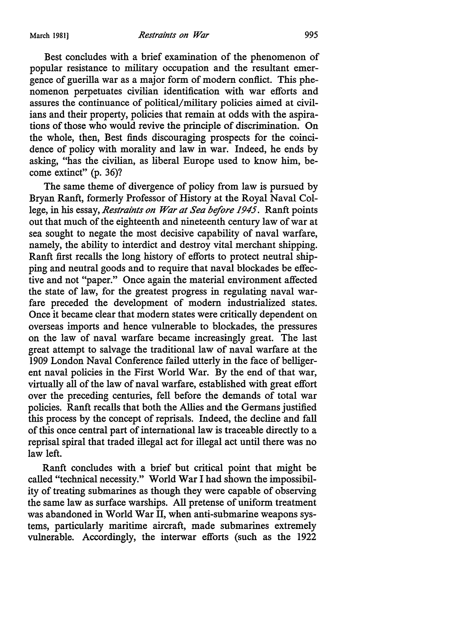Best concludes with a brief examination of the phenomenon of popular resistance to military occupation and the resultant emergence of guerilla war as a major form of modem conflict. This phenomenon perpetuates civilian identification with war efforts and assures the continuance of political/military policies aimed at civilians and their property, policies that remain at odds with the aspirations of those who would revive the principle of discrimination. On the whole, then, Best finds discouraging prospects for the coincidence of policy with morality and law in war. Indeed, he ends by asking, "has the civilian, as liberal Europe used to know him, become extinct" (p. 36)?

The same theme of divergence of policy from law is pursued by Bryan Ranft, formerly Professor of History at the Royal Naval College, in his essay, *Restraints on War at Sea before 1945.* Ranft points out that much of the eighteenth and nineteenth century law of war at sea sought to negate the most decisive capability of naval warfare, namely, the ability to interdict and destroy vital merchant shipping. Ranft first recalls the long history of efforts to protect neutral shipping and neutral goods and to require that naval blockades be effective and not "paper." Once again the material environment affected the state of law, for the greatest progress in regulating naval warfare preceded the development of modem industrialized states. Once it became clear that modem states were critically dependent on overseas imports and hence vulnerable to blockades, the pressures on the law of naval warfare became increasingly great. The last great attempt to salvage the traditional law of naval warfare at the 1909 London Naval Conference failed utterly in the face of belligerent naval policies in the First World War. By the end of that war, virtually all of the law of naval warfare, established with great effort over the preceding centuries, fell before the demands of total war policies. Ranft recalls that both the Allies and the Germans justified this process by the concept of reprisals. Indeed, the decline and fall of this once central part of international law is traceable directly to a reprisal spiral that traded illegal act for illegal act until there was no law left.

Ranft concludes with a brief but critical point that might be called "technical necessity." World War I had shown the impossibility of treating submarines as though they were capable of observing the same law as surface warships. All pretense of uniform treatment was abandoned in World War II, when anti-submarine weapons systems, particularly maritime aircraft, made submarines extremely vulnerable. Accordingly, the interwar efforts (such as the 1922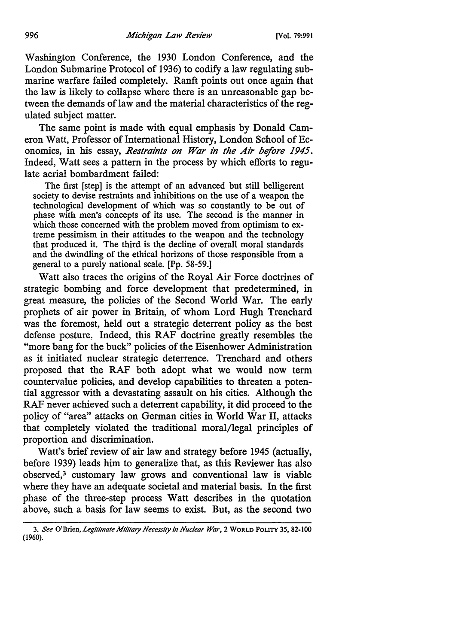Washington Conference, the 1930 London Conference, and the London Submarine Protocol of 1936) to codify a law regulating submarine warfare failed completely. Ranft points out once again that the law is likely to collapse where there is an unreasonable gap between the demands of law and the material characteristics of the regulated subject matter.

The same point is made with equal emphasis by Donald Cameron Watt, Professor of International History, London School of Economics, in his essay, *Restraints on War in the Air before 1945.*  Indeed, Watt sees a pattern in the process by which efforts to regulate aerial bombardment failed:

The first [step] is the attempt of an advanced but still belligerent society to devise restraints and inhibitions on the use of a weapon the technological development of which was so constantly to be out of phase with men's concepts of its use. The second is the manner in which those concerned with the problem moved from optimism to extreme pessimism in their attitudes to the weapon and the technology that produced it. The third is the decline of overall moral standards and the dwindling of the ethical horizons of those responsible from a general to a purely national scale. [Pp. 58-59.]

Watt also traces the origins of the Royal Air Force doctrines of strategic bombing and force development that predetermined, in great measure, the policies of the Second World War. The early prophets of air power in Britain, of whom Lord Hugh Trenchard was the foremost, held out a strategic deterrent policy as the best defense posture. Indeed, this RAF doctrine greatly resembles the "more bang for the buck" policies of the Eisenhower Administration as it initiated nuclear strategic deterrence. Trenchard and others proposed that the RAF both adopt what we would now term countervalue policies, and develop capabilities to threaten a potential aggressor with a devastating assault on his cities. Although the RAF never achieved such a deterrent capability, it did proceed to the policy of "area" attacks on German cities in World War II, attacks that completely violated the traditional moral/legal principles of proportion and discrimination.

Watt's brief review of air law and strategy before 1945 (actually, before 1939) leads him to generalize that, as this Reviewer has also observed,3 customary law grows and conventional law is viable where they have an adequate societal and material basis. In the first phase of the three-step process Watt describes in the quotation above, such a basis for law seems to exist. But, as the second two

<sup>3.</sup> *See* O'Brien, *Legitimate Military Necessity in Nuclear War,* 2 WORLD POLITY 35, 82-100 (1960).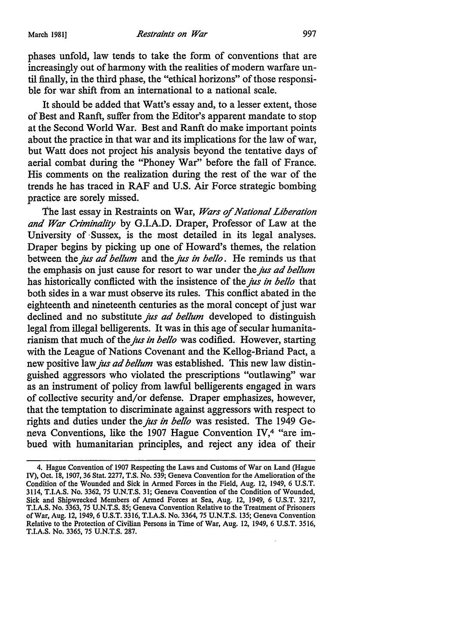phases unfold, law tends to take the form of conventions that are increasingly out of harmony with the realities of modem warfare until finally, in the third phase, the "ethical horizons" of those responsible for war shift from an international to a national scale.

It should be added that Watt's essay and, to a lesser extent, those of Best and Ranft, suffer from the Editor's apparent mandate to stop at the Second World War. Best and Ranft do make important points about the practice in that war and its implications for the law of war, but Watt does not project his analysis beyond the tentative days of aerial combat during the "Phoney War'' before the fall of France. His comments on the realization during the rest of the war of the trends he has traced in RAF and U.S. Air Force strategic bombing practice are sorely missed.

The last essay in Restraints on War, *Wars of National Liberation and War Criminality* by G.I.A.D. Draper, Professor of Law at the University of ·Sussex, is the most detailed in its legal analyses. Draper begins by picking up one of Howard's themes, the relation between the *jus ad helium* and the *jus in be/lo.* He reminds us that the emphasis on just cause for resort to war under the *jus ad helium*  has historically conflicted with the insistence of the *jus in be/lo* that both sides in a war must observe its rules. This conflict abated in the eighteenth and nineteenth centuries as the moral concept of just war declined and no substitute *jus ad helium* developed to distinguish legal from illegal belligerents. It was in this age of secular humanitarianism that much of the *jus in be/lo* was codified. However, starting with the League of Nations Covenant and the Kellog-Briand Pact, a new positive law *jus ad helium* was established. This new law distinguished aggressors who violated the prescriptions "outlawing" war as an instrument of policy from lawful belligerents engaged in wars of collective security and/or defense. Draper emphasizes, however, that the temptation to discriminate against aggressors with respect to rights and duties under the *jus in bello* was resisted. The 1949 Geneva Conventions, like the 1907 Hague Convention IV,4 "are imbued with humanitarian principles, and reject any idea of their

<sup>4.</sup> Hague Convention of 1907 Respecting the Laws and Customs of War on Land (Hague IV), Oct. 18, 1907, 36 Stat. 2277, T.S. No. 539; Geneva Convention for the Amelioration of the Condition of the Wounded and Sick in Armed Forces in the Field, Aug. 12, 1949, 6 U.S.T. 3114, T.I.A.S. No. 3362, 75 U.N.T.S. 31; Geneva Convention of the Condition of Wounded, Sick and Shipwrecked Members of Armed Forces at Sea, Aug. 12, 1949, 6 U.S.T. 3217, T.I.A.S. No. 3363, 75 U.N.T.S. 85; Geneva Convention Relative to the Treatment of Prisoners of War, Aug. 12, 1949, 6 U.S.T. 3316, T.I.A.S. No. 3364, 75 U.N.T.S. 135; Geneva Convention Relative to the Protection of Civilian Persons in Time of War, Aug. 12, 1949, 6 U.S.T. 3516, T.I.A.S. No. 3365, 75 U.N.T.S. 287.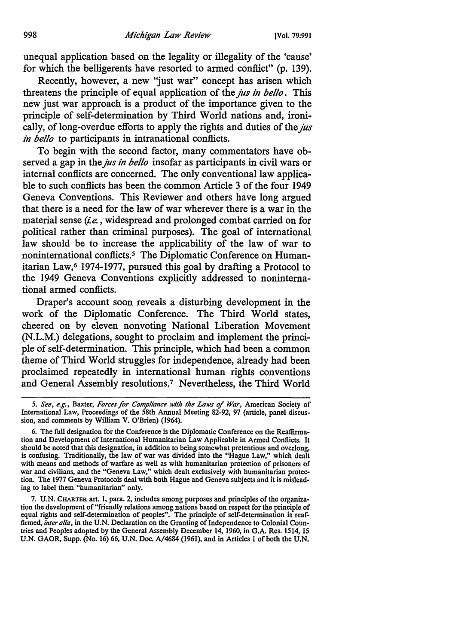unequal application based on the legality or illegality of the 'cause' for which the belligerents have resorted to armed conflict" (p. 139).

Recently, however, a new 'just war" concept has arisen which threatens the principle of equal application of the *jus in hello.* This new just war approach is a product of the importance given to the principle of self-determination by Third World nations and, ironically, of long-overdue efforts to apply the rights and duties of the *jus in hello* to participants in intranational conflicts.

To begin with the second factor, many commentators have observed a gap in the *jus in hello* insofar as participants in civil wars or internal conflicts are concerned. The only conventional law applicable to such conflicts has been the common Article 3 of the four 1949 Geneva Conventions. This Reviewer and others have long argued that there is a need for the law of war wherever there is a war in the material sense  $(i.e.,$  widespread and prolonged combat carried on for political rather than criminal purposes). The goal of international law should be to increase the applicability of the law of war to noninternational conflicts.5 The Diplomatic Conference on Humanitarian Law,<sup>6</sup> 1974-1977, pursued this goal by drafting a Protocol to the 1949 Geneva Conventions explicitly addressed to noninternational armed conflicts.

Draper's account soon reveals a disturbing development in the work of the Diplomatic Conference. The Third World states, cheered on by eleven nonvoting National Liberation Movement (N.L.M.) delegations, sought to proclaim and implement the principle of self-determination. This principle, which had been a common theme of Third World struggles for independence, already had been proclaimed repeatedly in international human rights conventions and General Assembly resolutions.7 Nevertheless, the Third World

<sup>5.</sup> *See, e.g.,* Baxter, *Forces far Compliance with the Laws of War,* American Society of International Law, Proceedings of the 58th Annual Meeting 82-92, 97 (article, panel discussion, and comments by William V. O'Brien) (1964).

<sup>6.</sup> The full designation for the Conference is the Diplomatic Conference on the Reaffirmation and Development of International Humanitarian Law Applicable in Armed Conflicts. It should be noted that this designation, in addition to being somewhat pretentious and overlong, is confusing. Traditionally, the law of war was divided into the "Hague Law," which dealt with means and methods of warfare as well as with humanitarian protection of prisoners of war and civilians, and the "Geneva Law," which dealt exclusively with humanitarian protection. The 1977 Geneva Protocols deal with both Hague and Geneva subjects and it is mislead• ing to label them "humanitarian" only.

<sup>7.</sup> U.N. CHARTER art. 1, para. 2, includes among purposes and principles of the organization the development of "friendly relations among nations based on respect for the principle of equal rights and self-determination of peoples". The principle of self-determination is reaffirmed, *inter alia,* in the U.N. Declaration on the Granting of Independence to Colonial Countries and Peoples adopted by the General Assembly December 14, 1960, in G.A. Res. 1514, 15 U.N. GAOR, Supp. (No. 16) 66, U.N. Doc. A/4684 (1961), and in Articles 1 of both the U.N.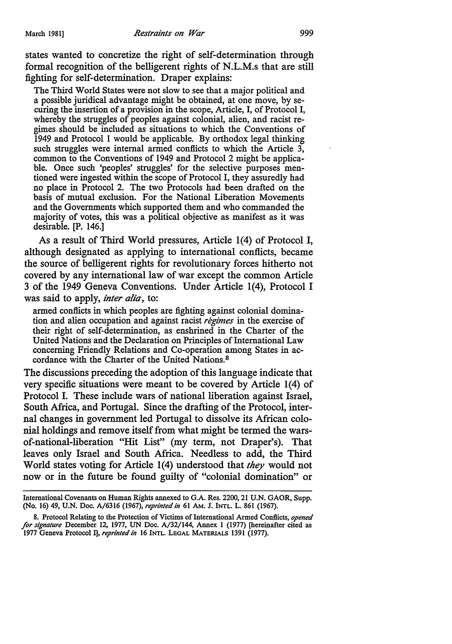states wanted to concretize the right of self-determination through formal recognition of the belligerent rights of N.L.M.s that are still fighting for self-determination. Draper explains:

The Third World States were not slow to see that a major political and a possible juridical advantage might be obtained, at one move, by securing the insertion of a provision in the scope, Article, I, of Protocol I, whereby the struggles of peoples against colonial, alien, and racist regimes should be included as situations to which the Conventions of 1949 and Protocol 1 would be applicable. By orthodox legal thinking such struggles were internal armed conflicts to which the Article 3, common to the Conventions of 1949 and Protocol 2 might be applicable. Once such 'peoples' struggles' for the selective purposes mentioned were ingested within the scope of Protocol I, they assuredly had no place in Protocol 2. The two Protocols had been drafted on the basis of mutual exclusion. For the National Liberation Movements and the Governments which supported them and who commanded the majority of votes, this was a political objective as manifest as it was desirable. [P. 146.]

As a result of Third World pressures, Article 1(4) of Protocol I, although designated as applying to international conflicts, became the source of belligerent rights for revolutionary forces hitherto not covered by any international law of war except the common Article 3 of the 1949 Geneva Conventions. Under Article 1(4), Protocol I was said to apply, *inter alia,* to:

armed conflicts in which peoples are fighting against colonial domination and alien occupation and against racist *regimes* in the exercise of their right of self-determination, as enshrined in the Charter of the United Nations and the Declaration on Principles of International Law concerning Friendly Relations and Co-operation among States in accordance with the Charter of the United Nations.<sup>8</sup>

The discussions preceding the adoption of this language indicate that very specific situations were meant to be covered by Article 1(4) of Protocol I. These include wars of national liberation against Israel, South Africa, and Portugal. Since the drafting of the Protocol, internal changes in government led Portugal to dissolve its African colonial holdings and remove itself from what might be termed the warsof-national-liberation "Hit List" (my term, not Draper's). That leaves only Israel and South Africa. Needless to add, the Third World states voting for Article 1(4) understood that *they* would not now or in the future be found guilty of "colonial domination" or

International Covenants on Human Rights annexed to G.A. Res. 2200, 21 U.N. GAOR, Supp. (No. 16) 49, U.N. Doc. A/6316 (1967), *reprinted in* 61 AM. J. INTL. L. 861 (1967).

<sup>8.</sup> Protocol Relating to the Protection of Victims of International Armed Conflicts, *opened for signature* December 12, 1977, UN Doc. A/32/144, Annex l (1977) [hereinafter cited as 1977 Geneva Protocol I], *reprinted in* 16 INTL. LEGAL MATERIALS 1391 (1977).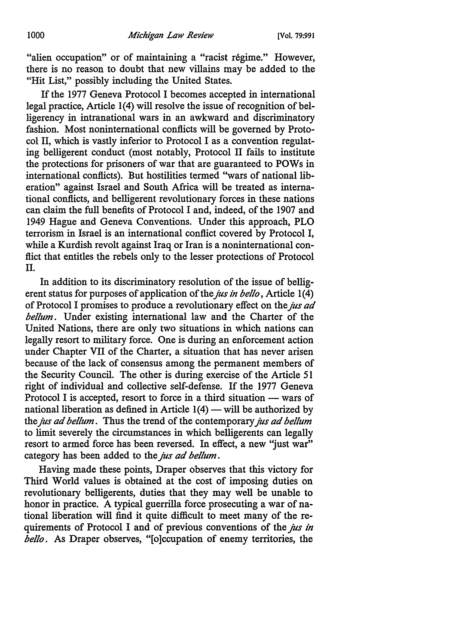"alien occupation" or of maintaining a "racist regime." However, there is no reason to doubt that new villains may be added to the "Hit List," possibly including the United States.

If the 1977 Geneva Protocol I becomes accepted in international legal practice, Article  $1(4)$  will resolve the issue of recognition of belligerency in intranational wars in an awkward and discriminatory fashion. Most noninternational conflicts will be governed by Protocol II, which is vastly inferior to Protocol I as a convention regulating belligerent conduct (most notably, Protocol II fails to institute the protections for prisoners of war that are guaranteed to POWs in international conflicts). But hostilities termed "wars of national liberation" against Israel and South Africa will be treated as international conflicts, and belligerent revolutionary forces in these nations can claim the full benefits of Protocol I and, indeed, of the 1907 and 1949 Hague and Geneva Conventions. Under this approach, PLO terrorism in Israel is an international conflict covered by Protocol I, while a Kurdish revolt against Iraq or Iran is a noninternational conflict that entitles the rebels only to the lesser protections of Protocol II.

In addition to its discriminatory resolution of the issue of belligerent status for purposes of application of the *jus in bello*, Article 1(4) of Protocol I promises to produce a revolutionary effect on the *JUS ad helium.* Under existing international law and the Charter of the United Nations, there are only two situations in which nations can legally resort to military force. One is during an enforcement action under Chapter VII of the Charter, a situation that has never arisen because of the lack of consensus among the permanent members of the Security Council. The other is during exercise of the Article 51 right of individual and collective self-defense. If the 1977 Geneva Protocol I is accepted, resort to force in a third situation  $-$  wars of national liberation as defined in Article  $1(4)$  — will be authorized by the *jus ad helium.* Thus the trend of the contemporary *jus ad helium*  to limit severely the circumstances in which belligerents can legally resort to armed force has been reversed. In effect, a new 'just war" category has been added to the *jus ad helium.* 

Having made these points, Draper observes that this victory for Third World values is obtained at the cost of imposing duties on revolutionary belligerents, duties that they may well be unable to honor in practice. A typical guerrilla force prosecuting a war of national liberation will find it quite difficult to meet many of the requirements of Protocol I and of previous conventions of the *jus in hello.* As Draper observes, "[o)ccupation of enemy territories, the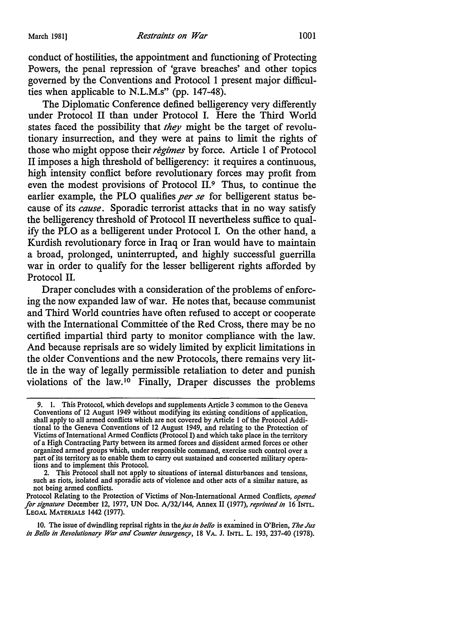conduct of hostilities, the appointment and functioning of Protecting Powers, the penal repression of 'grave breaches' and other topics governed by the Conventions and Protocol 1 present major difficulties when applicable to N.L.M.s" (pp. 147-48).

The Diplomatic Conference defined belligerency very differently under Protocol II than under Protocol I. Here the Third World states faced the possibility that *they* might be the target of revolutionary insurrection, and they were at pains to limit the rights of those who might oppose their *regimes* by force. Article I of Protocol II imposes a high threshold of belligerency: it requires a continuous, high intensity conflict before revolutionary forces may profit from even the modest provisions of Protocol II.9 Thus, to continue the earlier example, the PLO qualifies *per se* for belligerent status because of its *cause.* Sporadic terrorist attacks that in no way satisfy the belligerency threshold of Protocol II nevertheless suffice to qualify the PLO as a belligerent under Protocol I. On the other hand, a Kurdish revolutionary force in Iraq or Iran would have to maintain a broad, prolonged, uninterrupted, and highly successful guerrilla war in order to qualify for the lesser belligerent rights afforded by Protocol II.

Draper concludes with a consideration of the problems of enforcing the now expanded law of war. He notes that, because communist and Third World countries have often refused to accept or cooperate with the International Committee of the Red Cross, there may be no certified impartial third party to monitor compliance with the law. And because reprisals are so widely limited by explicit limitations in the older Conventions and the new Protocols, there remains very little in the way of legally permissible retaliation to deter and punish violations of the law.<sup>10</sup> Finally, Draper discusses the problems

2. This Protocol shall not apply to situations of internal disturbances and tensions, such as riots, isolated and sporadic acts of violence and other acts of a similar nature, as not being armed conflicts.

Protocol Relating to the Protection of Victims of Non-International Armed Conflicts, *opened for signature* December 12, 1977, UN Doc. A/32/144, Annex II (1977), *reprinted in* 16 INTL. LEGAL MATERIALS 1442 (1977).

10. The issue of dwindling reprisal rights in the *fas in be/lo* is examined in O'Brien, *The Jus in Bello in Revolutionary War and Counter insurgency*, 18 VA. J. INTL. L. 193, 237-40 (1978).

<sup>9. 1.</sup> This Protocol, which develops and supplements Article 3 common to the Geneva Conventions of 12 August 1949 without modifying its existing conditions of application, shall apply to all armed conflicts which are not covered by Article 1 of the Protocol Additional to the Geneva Conventions of 12 August 1949, and relating to the Protection of Victims of International Armed Conflicts (Protocol I) and which take place in the territory of a High Contracting Party between its armed forces and dissident armed forces or other organized armed groups which, under responsible command, exercise such control over a part of its territory as to enable them to carry out sustained and concerted military operations and to implement this Protocol.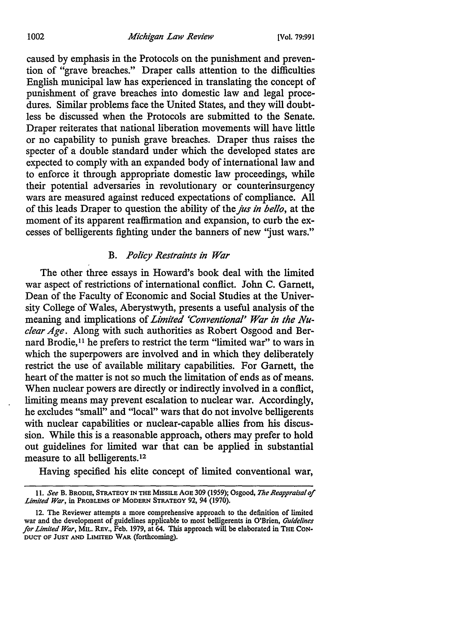caused by emphasis in the Protocols on the punishment and prevention of "grave breaches." Draper calls attention to the difficulties English municipal law has experienced in translating the concept of punishment of grave breaches into domestic law and legal procedures. Similar problems face the United States, and they will doubtless be discussed when the Protocols are submitted to the Senate. Draper reiterates that national liberation movements will have little or no capability to punish grave breaches. Draper thus raises the specter of a double standard under which the developed states are expected to comply with an expanded body of international law and to enforce it through appropriate domestic law proceedings, while their potential adversaries in revolutionary or counterinsurgency wars are measured against reduced expectations of compliance. All of this leads Draper to question the ability of the *jus in hello,* at the moment of its apparent reaffirmation and expansion, to curb the excesses of belligerents fighting under the banners of new "just wars."

### B. *Policy Restraints in War*

The other three essays in Howard's book deal with the limited war aspect of restrictions of international conflict. John C. Garnett, Dean of the Faculty of Economic and Social Studies at the University College of Wales, Aberystwyth, presents a useful analysis of the meaning and implications of *Limited 'Conventional' War in the Nuclear Age.* Along with such authorities as Robert Osgood and Bernard Brodie, 11 he prefers to restrict the term "limited war" to wars in which the superpowers are involved and in which they deliberately restrict the use of available military capabilities. For Garnett, the heart of the matter is not so much the limitation of ends as of means. When nuclear powers are directly or indirectly involved in a conflict, limiting means may prevent escalation to nuclear war. Accordingly, he excludes "small" and "local'' wars that do not involve belligerents with nuclear capabilities or nuclear-capable allies from his discussion. While this is a reasonable approach, others may prefer to hold out guidelines for limited war that can be applied in substantial measure to all belligerents.<sup>12</sup>

Having specified his elite concept of limited conventional war,

<sup>11.</sup> *See* B. BRODIE, STRATEGY IN THE MISSILE AGE 309 (1959); Osgood, *The Reappraisal of Limited War,* in PROBLEMS OF MODERN STRATEGY 92, 94 (1970).

<sup>12.</sup> The Reviewer attempts a more comprehensive approach to the definition of limited war and the development of guidelines applicable to most belligerents in O'Brien, *Guidelines*  for Limited War, MIL. REV., Feb. 1979, at 64. This approach will be elaborated in THE CoN-DUCT OF JUST AND LIMITED WAR (forthcoming).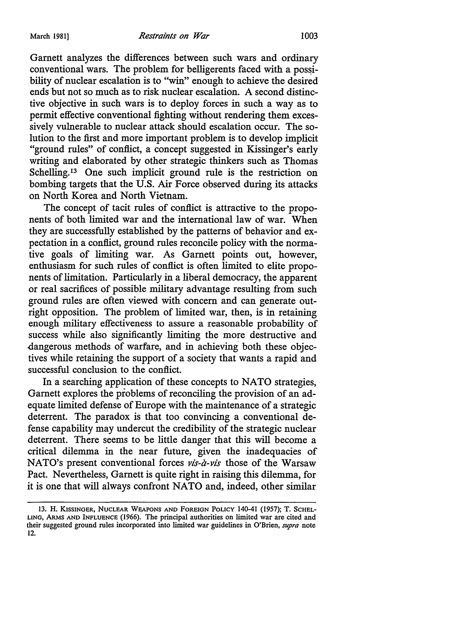Garnett analyzes the differences between such wars and ordinary conventional wars. The problem for belligerents faced with a possibility of nuclear escalation is to "win" enough to achieve the desired ends but not so much as to risk nuclear escalation. A second distinctive objective in such wars is to deploy forces in such a way as to permit effective conventional fighting without rendering them excessively vulnerable to nuclear attack should escalation occur. The solution to the first and more important problem is to develop implicit "ground rules" of conflict, a concept suggested in Kissinger's early writing and elaborated by other strategic thinkers such as Thomas Schelling.<sup>13</sup> One such implicit ground rule is the restriction on bombing targets that the U.S. Air Force observed during its attacks on North Korea and North Vietnam.

The concept of tacit rules of conflict is attractive to the proponents of both limited war and the international law of war. When they are successfully established by the patterns of behavior and expectation in a conflict, ground rules reconcile policy with the normative goals of limiting war. As Garnett points out, however, enthusiasm for such rules of conflict is often limited to elite proponents of limitation. Particularly in a liberal democracy, the apparent or real sacrifices of possible military advantage resulting from such ground rules are often viewed with concern and can generate outright opposition. The problem of limited war, then, is in retaining enough military effectiveness to assure a reasonable probability of success while also significantly limiting the more destructive and .dangerous methods of warfare, and in achieving both these objectives while retaining the support of a society that wants a rapid and successful conclusion to the conflict.

In a searching application of these concepts to NATO strategies, Garnett explores the problems of reconciling the provision of an adequate limited defense of Europe with the maintenance of a strategic deterrent. The paradox is that too convincing a conventional defense capability may undercut the credibility of the strategic nuclear deterrent. There seems to be little danger that this will become a critical dilemma in the near future, given the inadequacies of NATO's present conventional forces *vis-a-vis* those of the Warsaw Pact. Nevertheless, Garnett is quite right in raising this dilemma, for it is one that will always confront NATO and, indeed, other similar

<sup>13.</sup> H. KISSINGER, NUCLEAR WEAPONS AND FOREIGN POLICY 140-41 (1957); T. SCHEL-LING, ARMS AND INFLUENCE (1966). The principal authorities on limited war are cited and their suggested ground rules incorporated into limited war guidelines in O'Brien, *supra* note 12.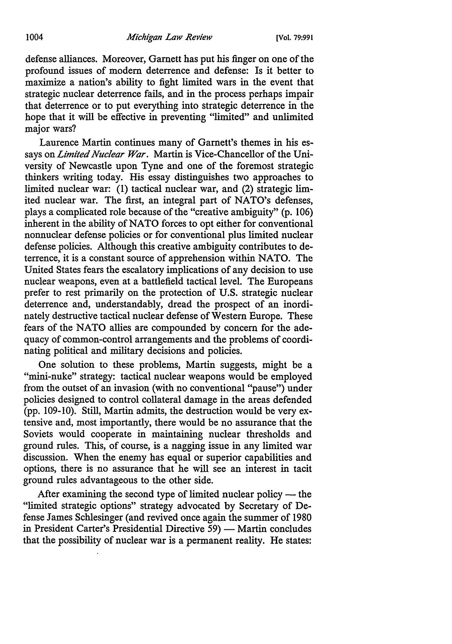defense alliances. Moreover, Garnett has put his finger on one of the profound issues of modem deterrence and defense: Is it better to maximize a nation's ability to fight limited wars in the event that strategic nuclear deterrence fails, and in the process perhaps impair that deterrence or to put everything into strategic deterrence in the hope that it will be effective in preventing "limited" and unlimited major wars?

Laurence Martin continues many of Garnett's themes in his essays on *Limited Nuclear War.* Martin is Vice-Chancellor of the University of Newcastle upon Tyne and one of the foremost strategic thinkers writing today. His essay distinguishes two approaches to limited nuclear war: (1) tactical nuclear war, and (2) strategic limited nuclear war. The first, an integral part of NATO's defenses, plays a complicated role because of the "creative ambiguity" (p. 106) inherent in the ability of NATO forces to opt either for conventional nonnuclear defense policies or for conventional plus limited nuclear defense policies. Although this creative ambiguity contributes to deterrence, it is a constant source of apprehension within NATO. The United States fears the escalatory implications of any decision to use nuclear weapons, even at a battlefield tactical level. The Europeans prefer to rest primarily on the protection of U.S. strategic nuclear deterrence and, understandably, dread the prospect of an inordinately destructive tactical nuclear defense of Western Europe. These fears of the NATO allies are compounded by concern for the adequacy of common-control arrangements and the problems of coordinating political and military decisions and policies.

One solution to these problems, Martin suggests, might be a "mini-nuke" strategy: tactical nuclear weapons would be employed from the outset of an invasion (with no conventional "pause") under policies designed to control collateral damage in the areas defended (pp. 109-10). Still, Martin admits, the destruction would be very extensive and, most importantly, there would be no assurance that the Soviets would cooperate in maintaining nuclear thresholds and ground rules. This, of course, is a nagging issue in any limited war discussion. When the enemy has equal or superior capabilities and options, there is no assurance that he will see an interest in tacit ground rules advantageous to the other side.

After examining the second type of limited nuclear policy  $-$  the "limited strategic options" strategy advocated by Secretary of Defense James Schlesinger (and revived once again the summer of 1980 in President Carter's Presidential Directive 59) — Martin concludes that the possibility of nuclear war is a permanent reality. He states: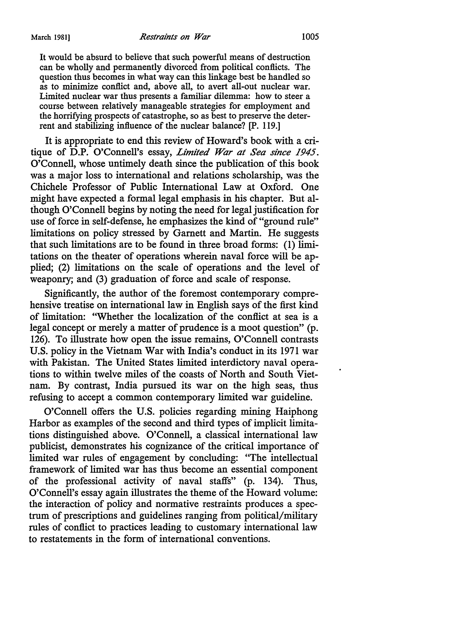It would be absurd to believe that such powerful means of destruction can be wholly and permanently divorced from political conflicts. The question thus becomes in what way can this linkage best be handled so as to minimize conflict and, above all, to avert all-out nuclear war. Limited nuclear war thus presents a familiar dilemma: how to steer a course between relatively manageable strategies for employment and the horrifying prospects of catastrophe, so as best to preserve the deterrent and stabilizing influence of the nuclear balance? [P. 119.]

It is appropriate to end this review of Howard's book with a critique of D.P. O'Connell's essay, *Limited War at Sea since 1945.*  O'Connell, whose untimely death since the publication of this book was a major loss to international and relations scholarship, was the Chichele Professor of Public International Law at Oxford. One might have expected a formal legal emphasis in his chapter. But although O'Connell begins by noting the need for legal justification for use of force in self-defense, he emphasizes the kind of "ground rule" limitations on policy stressed by Garnett and Martin. He suggests that such limitations are to be found in three broad forms: (1) limitations on the theater of operations wherein naval force will be applied; (2) limitations on the scale of operations and the level of weaponry; and (3) graduation of force and scale of response.

Significantly, the author of the foremost contemporary comprehensive treatise on international law in English says of the first kind of limitation: "Whether the localization of the conflict at sea is a legal concept or merely a matter of prudence is a moot question" (p. 126). To illustrate how open the issue remains, O'Connell contrasts U.S. policy in the Vietnam War with India's conduct in its 1971 war with Pakistan. The United States limited interdictory naval operations to within twelve miles of the coasts of North and South Vietnam. By contrast, India pursued its war on the high seas, thus refusing to accept a common contemporary limited war guideline.

O'Connell offers the U.S. policies regarding mining Haiphong Harbor as examples of the second and third types of implicit limitations distinguished above. O'Connell, a classical international law publicist, demonstrates his cognizance of the critical importance of limited war rules of engagement by concluding: "The intellectual framework of limited war has thus become an essential component of the professional activity of naval staffs" (p. 134). Thus, O'Connell's essay again illustrates the theme of the Howard volume: the interaction of policy and normative restraints produces a spectrum of prescriptions and guidelines ranging from political/military rules of conflict to practices leading to customary international law to restatements in the form of international conventions.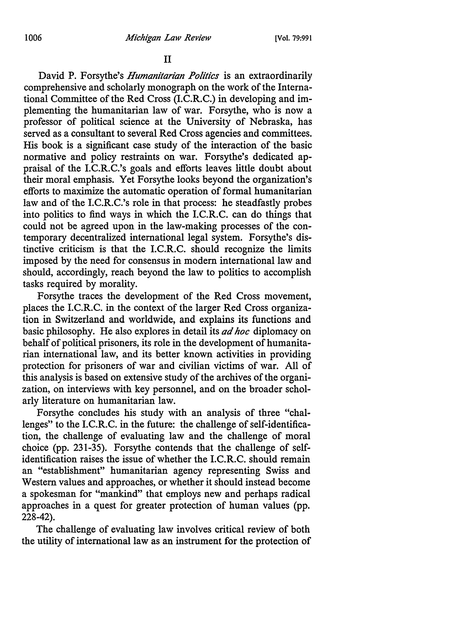David P. Forsythe's *Humanitarian Politics* is an extraordinarily comprehensive and scholarly monograph on the work of the International Committee of the Red Cross (I.C.R.C.) in developing and implementing the humanitarian law of war. Forsythe, who is now a professor of political science at the University of Nebraska, has served as a consultant to several Red Cross agencies and committees. His book is a significant case study of the interaction of the basic normative and policy restraints on war. Forsythe's dedicated appraisal of the I.C.R.C.'s goals and efforts leaves little doubt about their moral emphasis. Yet Forsythe looks beyond the organization's efforts to maximize the automatic operation of formal humanitarian law and of the I.C.R.C.'s role in that process: he steadfastly probes into politics to find ways in which the I.C.R.C. can do things that could not be agreed upon in the law-making processes of the contemporary decentralized international legal system. Forsythe's distinctive criticism is that the I.C.R.C. should recognize the limits imposed by the need for consensus in modern international law and should, accordingly, reach beyond the law to politics to accomplish tasks required by morality.

Forsythe traces the development of the Red Cross movement, places the I.C.R.C. in the context of the larger Red Cross organization in Switzerland and worldwide, and explains its functions and basic philosophy. He also explores in detail its *ad hoc* diplomacy on behalf of political prisoners, its role in the development of humanitarian international law, and its better known activities in providing protection for prisoners of war and civilian victims of war. All of this analysis is based on extensive study of the archives of the organization, on interviews with key personnel, and on the broader scholarly literature on humanitarian law.

Forsythe concludes his study with an analysis of three "challenges" to the I.C.R.C. in the future: the challenge of self-identification, the challenge of evaluating law and the challenge of moral choice (pp. 231-35). Forsythe contends that the challenge of selfidentification raises the issue of whether the I.C.R.C. should remain an "establishment" humanitarian agency representing Swiss and Western values and approaches, or whether it should instead become a spokesman for "mankind" that employs new and perhaps radical approaches in a quest for greater protection of human values (pp. 228-42).

The challenge of evaluating law involves critical review of both the utility of international law as an instrument for the protection of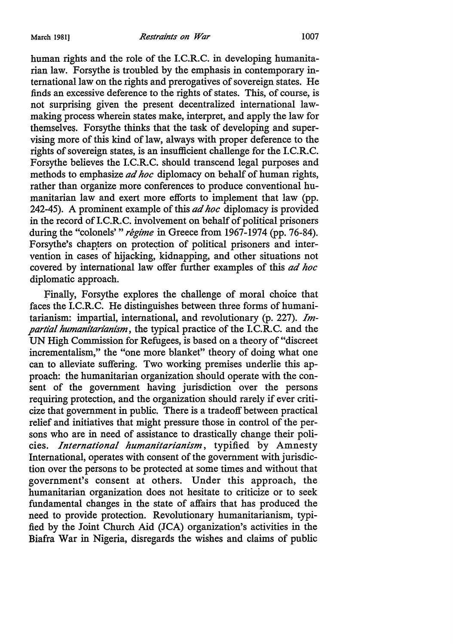human rights and the role of the I.C.R.C. in developing humanitarian law. Forsythe is troubled by the emphasis in contemporary international law on the rights and prerogatives of sovereign states. He finds an excessive deference to the rights of states. This, of course, is not surprising given the present decentralized international lawmaking process wherein states make, interpret, and apply the law for themselves. Forsythe thinks that the task of developing and supervising more of this kind of law, always with proper deference to the rights of sovereign states, is an insufficient challenge for the I.C.R.C. Forsythe believes the I.C.R.C. should transcend legal purposes and methods to emphasize *ad hoc* diplomacy on behalf of human rights, rather than organize more conferences to produce conventional humanitarian law and exert more efforts to implement that law (pp. 242-45). A prominent example of this *ad hoc* diplomacy is provided in the record of I.C.R.C. involvement on behalf of political prisoners during the "colonels'" *regime* in Greece from 1967-1974 (pp. 76-84). Forsythe's chapters on protection of political prisoners and intervention in cases of hijacking, kidnapping, and other situations not covered by international law offer further examples of this *ad hoc*  diplomatic approach.

Finally, Forsythe explores the challenge of moral choice that faces the I.C.R.C. He distinguishes between three forms of humanitarianism: impartial, international, and revolutionary (p. 227). *Impartial humanitarianism,* the typical practice of the I.C.R.C. and the UN High Commission for Refugees, is based on a theory of "discreet incrementalism," the "one more blanket" theory of doing what one can to alleviate suffering. Two working premises underlie this approach: the humanitarian organization should operate with the consent of the government having jurisdiction over the persons requiring protection, and the organization should rarely if ever criticize that government in public. There is a tradeoff between practical relief and initiatives that might pressure those in control of the persons who are in need of assistance to drastically change their policies. *International humanitarianism,* typified by Amnesty International, operates with consent of the government with jurisdiction over the persons to be protected at some times and without that government's consent at others. Under this approach, the humanitarian organization does not hesitate to criticize or to seek fundamental changes in the state of affairs that has produced the need to provide protection. Revolutionary humanitarianism, typified by the Joint Church Aid (JCA) organization's activities in the Biafra War in Nigeria, disregards the wishes and claims of public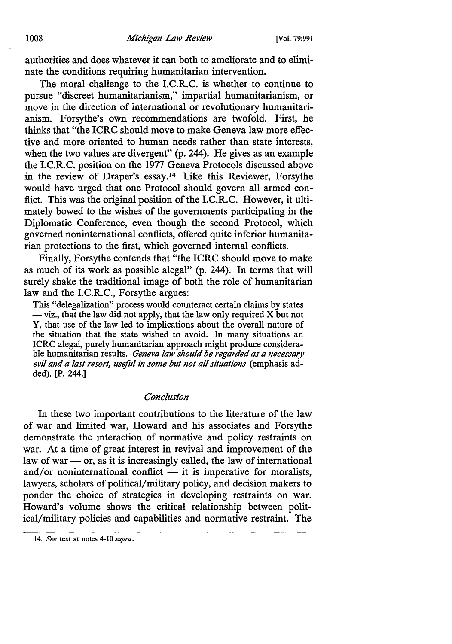authorities and does whatever it can both to ameliorate and to eliminate the conditions requiring humanitarian intervention.

The moral challenge to the I.C.R.C. is whether to continue to pursue "discreet humanitarianism," impartial humanitarianism, or move in the direction of international or revolutionary humanitarianism. Forsythe's own recommendations are twofold. First, he thinks that "the ICRC should move to make Geneva law more effective and more oriented to human needs rather than state interests, when the two values are divergent" (p. 244). He gives as an example the I.C.R.C. position on the 1977 Geneva Protocols discussed above in the review of Draper's essay.<sup>14</sup> Like this Reviewer, Forsythe would have urged that one Protocol should govern all armed conflict. This was the original position of the I.C.R.C. However, it ultimately bowed to the wishes of the governments participating in the Diplomatic Conference, even though the second Protocol, which governed noninternational conflicts, offered quite inferior humanitarian protections to the first, which governed internal conflicts.

Finally, Forsythe contends that "the ICRC should move to make as much of its work as possible alegal" (p. 244). In terms that will surely shake the traditional image of both the role of humanitarian law and the I.C.R.C., Forsythe argues:

This "delegalization" process would counteract certain claims by states  $-$  viz., that the law did not apply, that the law only required X but not Y, that use of the law led to implications about the overall nature of the situation that the state wished to avoid. In many situations an ICRC alegal, purely humanitarian approach might produce considerable humanitarian results. *Geneva law should be regarded as a necessary evil and a last resort, useful in some but not all situations* (emphasis added). [P. 244.]

### *Conclusion*

In these two important contributions to the literature of the law of war and limited war, Howard and his associates and Forsythe demonstrate the interaction of normative and policy restraints on war. At a time of great interest in revival and improvement of the law of war  $-$  or, as it is increasingly called, the law of international and/or noninternational conflict  $-$  it is imperative for moralists, lawyers, scholars of political/military policy, and decision makers to ponder the choice of strategies in developing restraints on war. Howard's volume shows the critical relationship between political/military policies and capabilities and normative restraint. The

<sup>14.</sup> *See* text at notes 4-10 supra.